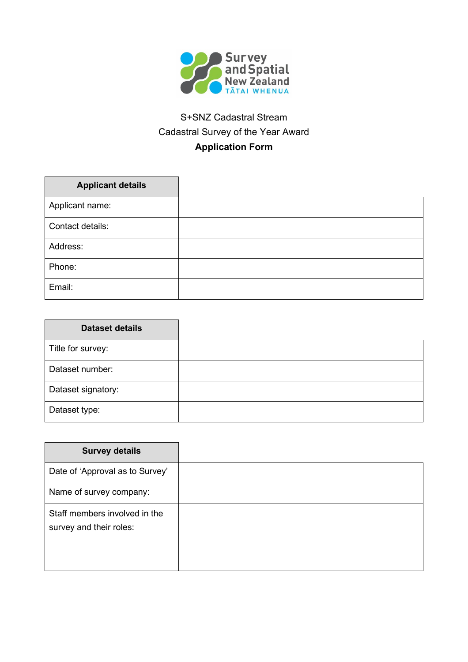

## S+SNZ Cadastral Stream Cadastral Survey of the Year Award **Application Form**

| <b>Applicant details</b> |  |
|--------------------------|--|
| Applicant name:          |  |
| Contact details:         |  |
| Address:                 |  |
| Phone:                   |  |
| Email:                   |  |

| <b>Dataset details</b> |  |
|------------------------|--|
| Title for survey:      |  |
| Dataset number:        |  |
| Dataset signatory:     |  |
| Dataset type:          |  |

| <b>Survey details</b>                                    |  |
|----------------------------------------------------------|--|
| Date of 'Approval as to Survey'                          |  |
| Name of survey company:                                  |  |
| Staff members involved in the<br>survey and their roles: |  |